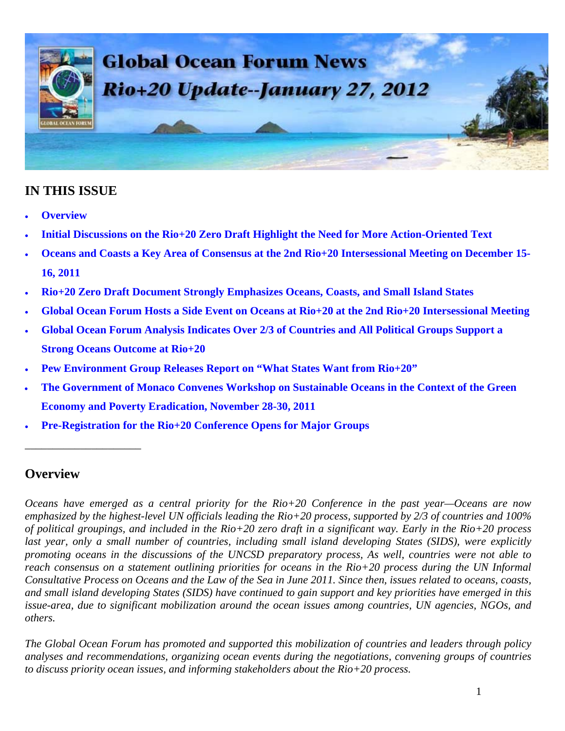

#### **IN THIS ISSUE**

- **Overview**
- **Initial Discussions on the Rio+20 Zero Draft Highlight the Need for More Action-Oriented Text**
- **Oceans and Coasts a Key Area of Consensus at the 2nd Rio+20 Intersessional Meeting on December 15- 16, 2011**
- **Rio+20 Zero Draft Document Strongly Emphasizes Oceans, Coasts, and Small Island States**
- **Global Ocean Forum Hosts a Side Event on Oceans at Rio+20 at the 2nd Rio+20 Intersessional Meeting**
- **Global Ocean Forum Analysis Indicates Over 2/3 of Countries and All Political Groups Support a Strong Oceans Outcome at Rio+20**
- **Pew Environment Group Releases Report on "What States Want from Rio+20"**
- **The Government of Monaco Convenes Workshop on Sustainable Oceans in the Context of the Green Economy and Poverty Eradication, November 28-30, 2011**
- **Pre-Registration for the Rio+20 Conference Opens for Major Groups**

#### **Overview**

\_\_\_\_\_\_\_\_\_\_\_\_\_\_\_\_\_\_\_\_\_

*Oceans have emerged as a central priority for the Rio+20 Conference in the past year—Oceans are now emphasized by the highest-level UN officials leading the Rio+20 process, supported by 2/3 of countries and 100% of political groupings, and included in the Rio+20 zero draft in a significant way. Early in the Rio+20 process*  last year, only a small number of countries, including small island developing States (SIDS), were explicitly *promoting oceans in the discussions of the UNCSD preparatory process, As well, countries were not able to reach consensus on a statement outlining priorities for oceans in the Rio+20 process during the UN Informal Consultative Process on Oceans and the Law of the Sea in June 2011. Since then, issues related to oceans, coasts, and small island developing States (SIDS) have continued to gain support and key priorities have emerged in this issue-area, due to significant mobilization around the ocean issues among countries, UN agencies, NGOs, and others.* 

*The Global Ocean Forum has promoted and supported this mobilization of countries and leaders through policy analyses and recommendations, organizing ocean events during the negotiations, convening groups of countries to discuss priority ocean issues, and informing stakeholders about the Rio+20 process.*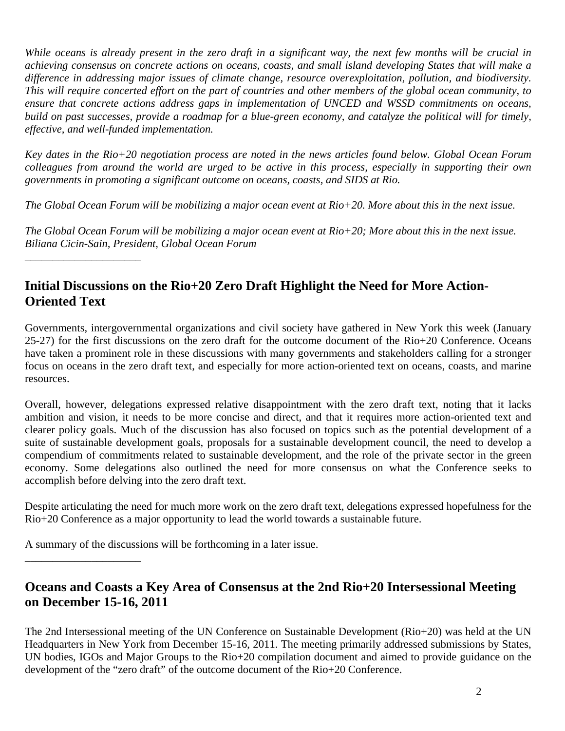*While oceans is already present in the zero draft in a significant way, the next few months will be crucial in achieving consensus on concrete actions on oceans, coasts, and small island developing States that will make a difference in addressing major issues of climate change, resource overexploitation, pollution, and biodiversity. This will require concerted effort on the part of countries and other members of the global ocean community, to ensure that concrete actions address gaps in implementation of UNCED and WSSD commitments on oceans, build on past successes, provide a roadmap for a blue-green economy, and catalyze the political will for timely, effective, and well-funded implementation.* 

*Key dates in the Rio+20 negotiation process are noted in the news articles found below. Global Ocean Forum colleagues from around the world are urged to be active in this process, especially in supporting their own governments in promoting a significant outcome on oceans, coasts, and SIDS at Rio.* 

*The Global Ocean Forum will be mobilizing a major ocean event at Rio+20. More about this in the next issue.* 

*The Global Ocean Forum will be mobilizing a major ocean event at Rio+20; More about this in the next issue. Biliana Cicin-Sain, President, Global Ocean Forum* 

# **Initial Discussions on the Rio+20 Zero Draft Highlight the Need for More Action-Oriented Text**

Governments, intergovernmental organizations and civil society have gathered in New York this week (January 25-27) for the first discussions on the zero draft for the outcome document of the Rio+20 Conference. Oceans have taken a prominent role in these discussions with many governments and stakeholders calling for a stronger focus on oceans in the zero draft text, and especially for more action-oriented text on oceans, coasts, and marine resources.

Overall, however, delegations expressed relative disappointment with the zero draft text, noting that it lacks ambition and vision, it needs to be more concise and direct, and that it requires more action-oriented text and clearer policy goals. Much of the discussion has also focused on topics such as the potential development of a suite of sustainable development goals, proposals for a sustainable development council, the need to develop a compendium of commitments related to sustainable development, and the role of the private sector in the green economy. Some delegations also outlined the need for more consensus on what the Conference seeks to accomplish before delving into the zero draft text.

Despite articulating the need for much more work on the zero draft text, delegations expressed hopefulness for the Rio+20 Conference as a major opportunity to lead the world towards a sustainable future.

A summary of the discussions will be forthcoming in a later issue.

\_\_\_\_\_\_\_\_\_\_\_\_\_\_\_\_\_\_\_\_\_

\_\_\_\_\_\_\_\_\_\_\_\_\_\_\_\_\_\_\_\_\_

#### **Oceans and Coasts a Key Area of Consensus at the 2nd Rio+20 Intersessional Meeting on December 15-16, 2011**

The 2nd Intersessional meeting of the UN Conference on Sustainable Development (Rio+20) was held at the UN Headquarters in New York from December 15-16, 2011. The meeting primarily addressed submissions by States, UN bodies, IGOs and Major Groups to the Rio+20 compilation document and aimed to provide guidance on the development of the "zero draft" of the outcome document of the Rio+20 Conference.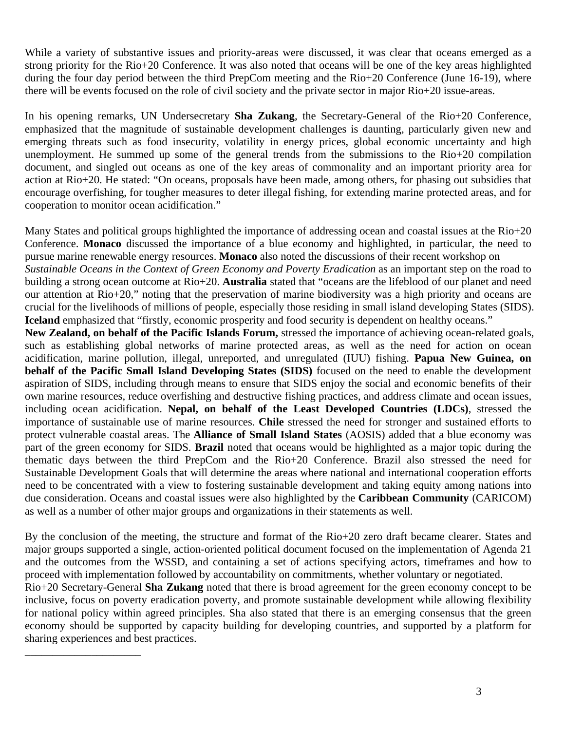While a variety of substantive issues and priority-areas were discussed, it was clear that oceans emerged as a strong priority for the Rio+20 Conference. It was also noted that oceans will be one of the key areas highlighted during the four day period between the third PrepCom meeting and the Rio+20 Conference (June 16-19), where there will be events focused on the role of civil society and the private sector in major Rio+20 issue-areas.

In his opening remarks, UN Undersecretary **Sha Zukang**, the Secretary-General of the Rio+20 Conference, emphasized that the magnitude of sustainable development challenges is daunting, particularly given new and emerging threats such as food insecurity, volatility in energy prices, global economic uncertainty and high unemployment. He summed up some of the general trends from the submissions to the Rio+20 compilation document, and singled out oceans as one of the key areas of commonality and an important priority area for action at Rio+20. He stated: "On oceans, proposals have been made, among others, for phasing out subsidies that encourage overfishing, for tougher measures to deter illegal fishing, for extending marine protected areas, and for cooperation to monitor ocean acidification."

Many States and political groups highlighted the importance of addressing ocean and coastal issues at the Rio+20 Conference. **Monaco** discussed the importance of a blue economy and highlighted, in particular, the need to pursue marine renewable energy resources. **Monaco** also noted the discussions of their recent workshop on *Sustainable Oceans in the Context of Green Economy and Poverty Eradication* as an important step on the road to building a strong ocean outcome at Rio+20. **Australia** stated that "oceans are the lifeblood of our planet and need our attention at Rio+20," noting that the preservation of marine biodiversity was a high priority and oceans are crucial for the livelihoods of millions of people, especially those residing in small island developing States (SIDS). **Iceland** emphasized that "firstly, economic prosperity and food security is dependent on healthy oceans."

**New Zealand, on behalf of the Pacific Islands Forum,** stressed the importance of achieving ocean-related goals, such as establishing global networks of marine protected areas, as well as the need for action on ocean acidification, marine pollution, illegal, unreported, and unregulated (IUU) fishing. **Papua New Guinea, on behalf of the Pacific Small Island Developing States (SIDS)** focused on the need to enable the development aspiration of SIDS, including through means to ensure that SIDS enjoy the social and economic benefits of their own marine resources, reduce overfishing and destructive fishing practices, and address climate and ocean issues, including ocean acidification. **Nepal, on behalf of the Least Developed Countries (LDCs)**, stressed the importance of sustainable use of marine resources. **Chile** stressed the need for stronger and sustained efforts to protect vulnerable coastal areas. The **Alliance of Small Island States** (AOSIS) added that a blue economy was part of the green economy for SIDS. **Brazil** noted that oceans would be highlighted as a major topic during the thematic days between the third PrepCom and the Rio+20 Conference. Brazil also stressed the need for Sustainable Development Goals that will determine the areas where national and international cooperation efforts need to be concentrated with a view to fostering sustainable development and taking equity among nations into due consideration. Oceans and coastal issues were also highlighted by the **Caribbean Community** (CARICOM) as well as a number of other major groups and organizations in their statements as well.

By the conclusion of the meeting, the structure and format of the Rio+20 zero draft became clearer. States and major groups supported a single, action-oriented political document focused on the implementation of Agenda 21 and the outcomes from the WSSD, and containing a set of actions specifying actors, timeframes and how to proceed with implementation followed by accountability on commitments, whether voluntary or negotiated.

Rio+20 Secretary-General **Sha Zukang** noted that there is broad agreement for the green economy concept to be inclusive, focus on poverty eradication poverty, and promote sustainable development while allowing flexibility for national policy within agreed principles. Sha also stated that there is an emerging consensus that the green economy should be supported by capacity building for developing countries, and supported by a platform for sharing experiences and best practices.

\_\_\_\_\_\_\_\_\_\_\_\_\_\_\_\_\_\_\_\_\_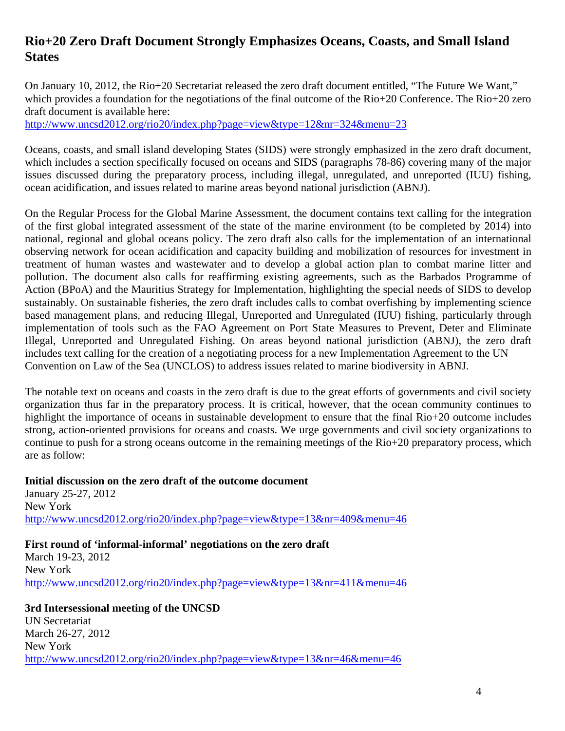## **Rio+20 Zero Draft Document Strongly Emphasizes Oceans, Coasts, and Small Island States**

On January 10, 2012, the Rio+20 Secretariat released the zero draft document entitled, "The Future We Want," which provides a foundation for the negotiations of the final outcome of the Rio+20 Conference. The Rio+20 zero draft document is available here:

http://www.uncsd2012.org/rio20/index.php?page=view&type=12&nr=324&menu=23

Oceans, coasts, and small island developing States (SIDS) were strongly emphasized in the zero draft document, which includes a section specifically focused on oceans and SIDS (paragraphs 78-86) covering many of the major issues discussed during the preparatory process, including illegal, unregulated, and unreported (IUU) fishing, ocean acidification, and issues related to marine areas beyond national jurisdiction (ABNJ).

On the Regular Process for the Global Marine Assessment, the document contains text calling for the integration of the first global integrated assessment of the state of the marine environment (to be completed by 2014) into national, regional and global oceans policy. The zero draft also calls for the implementation of an international observing network for ocean acidification and capacity building and mobilization of resources for investment in treatment of human wastes and wastewater and to develop a global action plan to combat marine litter and pollution. The document also calls for reaffirming existing agreements, such as the Barbados Programme of Action (BPoA) and the Mauritius Strategy for Implementation, highlighting the special needs of SIDS to develop sustainably. On sustainable fisheries, the zero draft includes calls to combat overfishing by implementing science based management plans, and reducing Illegal, Unreported and Unregulated (IUU) fishing, particularly through implementation of tools such as the FAO Agreement on Port State Measures to Prevent, Deter and Eliminate Illegal, Unreported and Unregulated Fishing. On areas beyond national jurisdiction (ABNJ), the zero draft includes text calling for the creation of a negotiating process for a new Implementation Agreement to the UN Convention on Law of the Sea (UNCLOS) to address issues related to marine biodiversity in ABNJ.

The notable text on oceans and coasts in the zero draft is due to the great efforts of governments and civil society organization thus far in the preparatory process. It is critical, however, that the ocean community continues to highlight the importance of oceans in sustainable development to ensure that the final Rio+20 outcome includes strong, action-oriented provisions for oceans and coasts. We urge governments and civil society organizations to continue to push for a strong oceans outcome in the remaining meetings of the Rio+20 preparatory process, which are as follow:

**Initial discussion on the zero draft of the outcome document**  January 25-27, 2012 New York http://www.uncsd2012.org/rio20/index.php?page=view&type=13&nr=409&menu=46

**First round of 'informal-informal' negotiations on the zero draft**  March 19-23, 2012 New York http://www.uncsd2012.org/rio20/index.php?page=view&type=13&nr=411&menu=46

**3rd Intersessional meeting of the UNCSD**  UN Secretariat March 26-27, 2012 New York http://www.uncsd2012.org/rio20/index.php?page=view&type=13&nr=46&menu=46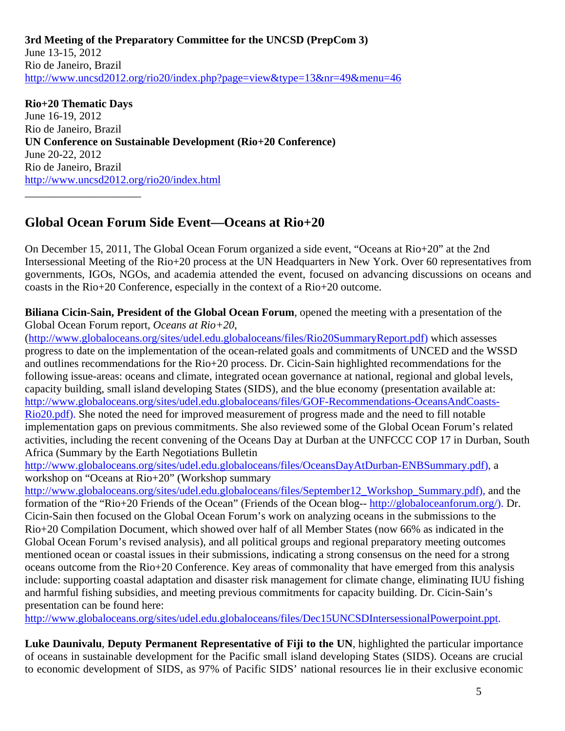**3rd Meeting of the Preparatory Committee for the UNCSD (PrepCom 3)**  June 13-15, 2012 Rio de Janeiro, Brazil http://www.uncsd2012.org/rio20/index.php?page=view&type=13&nr=49&menu=46

**Rio+20 Thematic Days**  June 16-19, 2012 Rio de Janeiro, Brazil **UN Conference on Sustainable Development (Rio+20 Conference)**  June 20-22, 2012 Rio de Janeiro, Brazil http://www.uncsd2012.org/rio20/index.html

## **Global Ocean Forum Side Event—Oceans at Rio+20**

\_\_\_\_\_\_\_\_\_\_\_\_\_\_\_\_\_\_\_\_\_

On December 15, 2011, The Global Ocean Forum organized a side event, "Oceans at Rio+20" at the 2nd Intersessional Meeting of the Rio+20 process at the UN Headquarters in New York. Over 60 representatives from governments, IGOs, NGOs, and academia attended the event, focused on advancing discussions on oceans and coasts in the Rio+20 Conference, especially in the context of a Rio+20 outcome.

**Biliana Cicin-Sain, President of the Global Ocean Forum**, opened the meeting with a presentation of the Global Ocean Forum report, *Oceans at Rio+20*,

(http://www.globaloceans.org/sites/udel.edu.globaloceans/files/Rio20SummaryReport.pdf) which assesses progress to date on the implementation of the ocean-related goals and commitments of UNCED and the WSSD and outlines recommendations for the Rio+20 process. Dr. Cicin-Sain highlighted recommendations for the following issue-areas: oceans and climate, integrated ocean governance at national, regional and global levels, capacity building, small island developing States (SIDS), and the blue economy (presentation available at: http://www.globaloceans.org/sites/udel.edu.globaloceans/files/GOF-Recommendations-OceansAndCoasts-Rio20.pdf). She noted the need for improved measurement of progress made and the need to fill notable implementation gaps on previous commitments. She also reviewed some of the Global Ocean Forum's related activities, including the recent convening of the Oceans Day at Durban at the UNFCCC COP 17 in Durban, South Africa (Summary by the Earth Negotiations Bulletin

http://www.globaloceans.org/sites/udel.edu.globaloceans/files/OceansDayAtDurban-ENBSummary.pdf), a workshop on "Oceans at Rio+20" (Workshop summary

http://www.globaloceans.org/sites/udel.edu.globaloceans/files/September12\_Workshop\_Summary.pdf), and the formation of the "Rio+20 Friends of the Ocean" (Friends of the Ocean blog-- http://globaloceanforum.org/). Dr. Cicin-Sain then focused on the Global Ocean Forum's work on analyzing oceans in the submissions to the Rio+20 Compilation Document, which showed over half of all Member States (now 66% as indicated in the Global Ocean Forum's revised analysis), and all political groups and regional preparatory meeting outcomes mentioned ocean or coastal issues in their submissions, indicating a strong consensus on the need for a strong oceans outcome from the Rio+20 Conference. Key areas of commonality that have emerged from this analysis include: supporting coastal adaptation and disaster risk management for climate change, eliminating IUU fishing and harmful fishing subsidies, and meeting previous commitments for capacity building. Dr. Cicin-Sain's presentation can be found here:

http://www.globaloceans.org/sites/udel.edu.globaloceans/files/Dec15UNCSDIntersessionalPowerpoint.ppt.

**Luke Daunivalu**, **Deputy Permanent Representative of Fiji to the UN**, highlighted the particular importance of oceans in sustainable development for the Pacific small island developing States (SIDS). Oceans are crucial to economic development of SIDS, as 97% of Pacific SIDS' national resources lie in their exclusive economic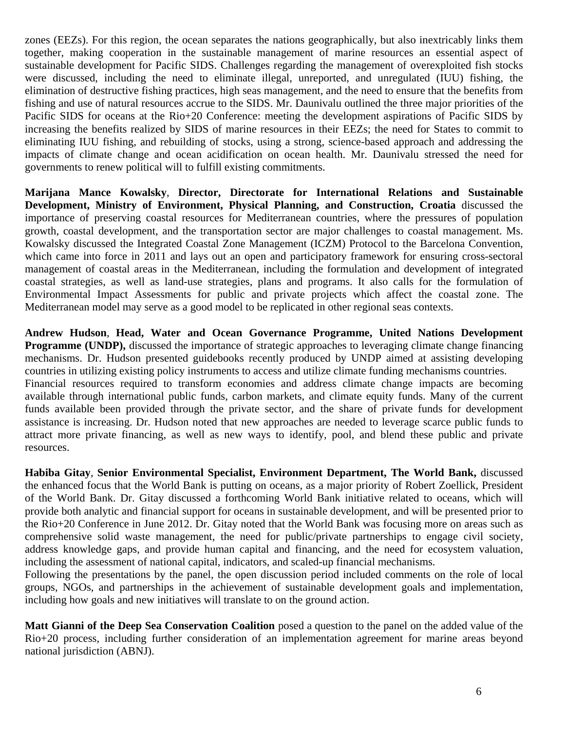zones (EEZs). For this region, the ocean separates the nations geographically, but also inextricably links them together, making cooperation in the sustainable management of marine resources an essential aspect of sustainable development for Pacific SIDS. Challenges regarding the management of overexploited fish stocks were discussed, including the need to eliminate illegal, unreported, and unregulated (IUU) fishing, the elimination of destructive fishing practices, high seas management, and the need to ensure that the benefits from fishing and use of natural resources accrue to the SIDS. Mr. Daunivalu outlined the three major priorities of the Pacific SIDS for oceans at the Rio+20 Conference: meeting the development aspirations of Pacific SIDS by increasing the benefits realized by SIDS of marine resources in their EEZs; the need for States to commit to eliminating IUU fishing, and rebuilding of stocks, using a strong, science-based approach and addressing the impacts of climate change and ocean acidification on ocean health. Mr. Daunivalu stressed the need for governments to renew political will to fulfill existing commitments.

**Marijana Mance Kowalsky**, **Director, Directorate for International Relations and Sustainable Development, Ministry of Environment, Physical Planning, and Construction, Croatia** discussed the importance of preserving coastal resources for Mediterranean countries, where the pressures of population growth, coastal development, and the transportation sector are major challenges to coastal management. Ms. Kowalsky discussed the Integrated Coastal Zone Management (ICZM) Protocol to the Barcelona Convention, which came into force in 2011 and lays out an open and participatory framework for ensuring cross-sectoral management of coastal areas in the Mediterranean, including the formulation and development of integrated coastal strategies, as well as land-use strategies, plans and programs. It also calls for the formulation of Environmental Impact Assessments for public and private projects which affect the coastal zone. The Mediterranean model may serve as a good model to be replicated in other regional seas contexts.

**Andrew Hudson**, **Head, Water and Ocean Governance Programme, United Nations Development Programme (UNDP),** discussed the importance of strategic approaches to leveraging climate change financing mechanisms. Dr. Hudson presented guidebooks recently produced by UNDP aimed at assisting developing countries in utilizing existing policy instruments to access and utilize climate funding mechanisms countries. Financial resources required to transform economies and address climate change impacts are becoming available through international public funds, carbon markets, and climate equity funds. Many of the current funds available been provided through the private sector, and the share of private funds for development assistance is increasing. Dr. Hudson noted that new approaches are needed to leverage scarce public funds to attract more private financing, as well as new ways to identify, pool, and blend these public and private resources.

**Habiba Gitay**, **Senior Environmental Specialist, Environment Department, The World Bank,** discussed the enhanced focus that the World Bank is putting on oceans, as a major priority of Robert Zoellick, President of the World Bank. Dr. Gitay discussed a forthcoming World Bank initiative related to oceans, which will provide both analytic and financial support for oceans in sustainable development, and will be presented prior to the Rio+20 Conference in June 2012. Dr. Gitay noted that the World Bank was focusing more on areas such as comprehensive solid waste management, the need for public/private partnerships to engage civil society, address knowledge gaps, and provide human capital and financing, and the need for ecosystem valuation, including the assessment of national capital, indicators, and scaled-up financial mechanisms.

Following the presentations by the panel, the open discussion period included comments on the role of local groups, NGOs, and partnerships in the achievement of sustainable development goals and implementation, including how goals and new initiatives will translate to on the ground action.

**Matt Gianni of the Deep Sea Conservation Coalition** posed a question to the panel on the added value of the Rio+20 process, including further consideration of an implementation agreement for marine areas beyond national jurisdiction (ABNJ).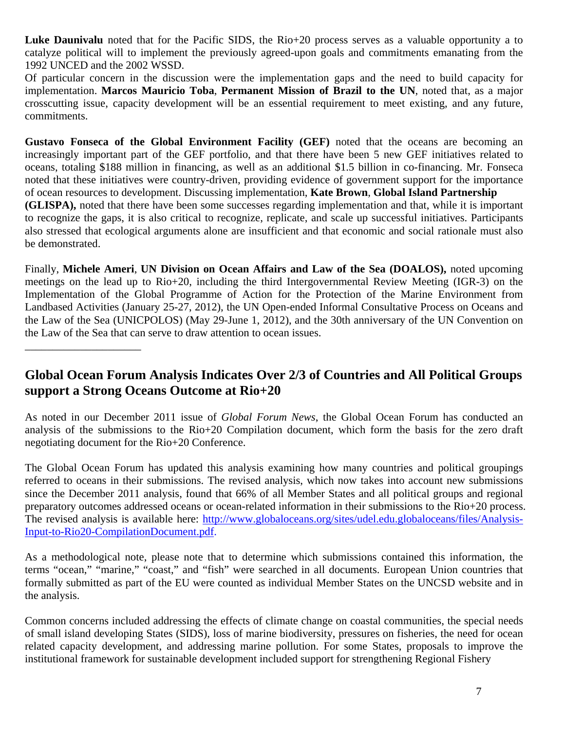**Luke Daunivalu** noted that for the Pacific SIDS, the Rio+20 process serves as a valuable opportunity a to catalyze political will to implement the previously agreed-upon goals and commitments emanating from the 1992 UNCED and the 2002 WSSD.

Of particular concern in the discussion were the implementation gaps and the need to build capacity for implementation. **Marcos Mauricio Toba**, **Permanent Mission of Brazil to the UN**, noted that, as a major crosscutting issue, capacity development will be an essential requirement to meet existing, and any future, commitments.

**Gustavo Fonseca of the Global Environment Facility (GEF)** noted that the oceans are becoming an increasingly important part of the GEF portfolio, and that there have been 5 new GEF initiatives related to oceans, totaling \$188 million in financing, as well as an additional \$1.5 billion in co-financing. Mr. Fonseca noted that these initiatives were country-driven, providing evidence of government support for the importance of ocean resources to development. Discussing implementation, **Kate Brown**, **Global Island Partnership (GLISPA),** noted that there have been some successes regarding implementation and that, while it is important to recognize the gaps, it is also critical to recognize, replicate, and scale up successful initiatives. Participants also stressed that ecological arguments alone are insufficient and that economic and social rationale must also be demonstrated.

Finally, **Michele Ameri**, **UN Division on Ocean Affairs and Law of the Sea (DOALOS),** noted upcoming meetings on the lead up to Rio+20, including the third Intergovernmental Review Meeting (IGR-3) on the Implementation of the Global Programme of Action for the Protection of the Marine Environment from Landbased Activities (January 25-27, 2012), the UN Open-ended Informal Consultative Process on Oceans and the Law of the Sea (UNICPOLOS) (May 29-June 1, 2012), and the 30th anniversary of the UN Convention on the Law of the Sea that can serve to draw attention to ocean issues.

#### **Global Ocean Forum Analysis Indicates Over 2/3 of Countries and All Political Groups support a Strong Oceans Outcome at Rio+20**

\_\_\_\_\_\_\_\_\_\_\_\_\_\_\_\_\_\_\_\_\_

As noted in our December 2011 issue of *Global Forum News*, the Global Ocean Forum has conducted an analysis of the submissions to the Rio+20 Compilation document, which form the basis for the zero draft negotiating document for the Rio+20 Conference.

The Global Ocean Forum has updated this analysis examining how many countries and political groupings referred to oceans in their submissions. The revised analysis, which now takes into account new submissions since the December 2011 analysis, found that 66% of all Member States and all political groups and regional preparatory outcomes addressed oceans or ocean-related information in their submissions to the Rio+20 process. The revised analysis is available here: http://www.globaloceans.org/sites/udel.edu.globaloceans/files/Analysis-Input-to-Rio20-CompilationDocument.pdf.

As a methodological note, please note that to determine which submissions contained this information, the terms "ocean," "marine," "coast," and "fish" were searched in all documents. European Union countries that formally submitted as part of the EU were counted as individual Member States on the UNCSD website and in the analysis.

Common concerns included addressing the effects of climate change on coastal communities, the special needs of small island developing States (SIDS), loss of marine biodiversity, pressures on fisheries, the need for ocean related capacity development, and addressing marine pollution. For some States, proposals to improve the institutional framework for sustainable development included support for strengthening Regional Fishery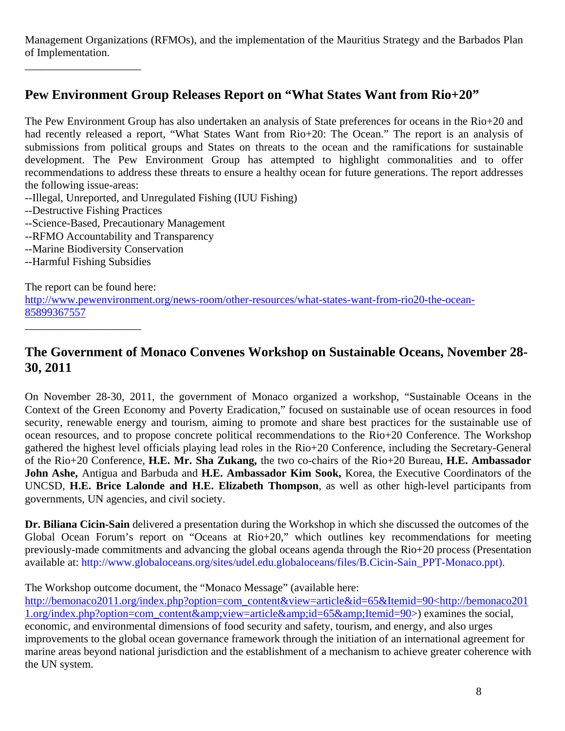Management Organizations (RFMOs), and the implementation of the Mauritius Strategy and the Barbados Plan of Implementation.

## **Pew Environment Group Releases Report on "What States Want from Rio+20"**

The Pew Environment Group has also undertaken an analysis of State preferences for oceans in the Rio+20 and had recently released a report, "What States Want from Rio+20: The Ocean." The report is an analysis of submissions from political groups and States on threats to the ocean and the ramifications for sustainable development. The Pew Environment Group has attempted to highlight commonalities and to offer recommendations to address these threats to ensure a healthy ocean for future generations. The report addresses the following issue-areas:

- --Illegal, Unreported, and Unregulated Fishing (IUU Fishing)
- --Destructive Fishing Practices

\_\_\_\_\_\_\_\_\_\_\_\_\_\_\_\_\_\_\_\_\_

- --Science-Based, Precautionary Management
- --RFMO Accountability and Transparency
- --Marine Biodiversity Conservation
- --Harmful Fishing Subsidies

The report can be found here:

\_\_\_\_\_\_\_\_\_\_\_\_\_\_\_\_\_\_\_\_\_

http://www.pewenvironment.org/news-room/other-resources/what-states-want-from-rio20-the-ocean-85899367557

## **The Government of Monaco Convenes Workshop on Sustainable Oceans, November 28- 30, 2011**

On November 28-30, 2011, the government of Monaco organized a workshop, "Sustainable Oceans in the Context of the Green Economy and Poverty Eradication," focused on sustainable use of ocean resources in food security, renewable energy and tourism, aiming to promote and share best practices for the sustainable use of ocean resources, and to propose concrete political recommendations to the Rio+20 Conference. The Workshop gathered the highest level officials playing lead roles in the Rio+20 Conference, including the Secretary-General of the Rio+20 Conference, **H.E. Mr. Sha Zukang,** the two co-chairs of the Rio+20 Bureau, **H.E. Ambassador John Ashe,** Antigua and Barbuda and **H.E. Ambassador Kim Sook,** Korea, the Executive Coordinators of the UNCSD, **H.E. Brice Lalonde and H.E. Elizabeth Thompson**, as well as other high-level participants from governments, UN agencies, and civil society.

**Dr. Biliana Cicin-Sain** delivered a presentation during the Workshop in which she discussed the outcomes of the Global Ocean Forum's report on "Oceans at Rio+20," which outlines key recommendations for meeting previously-made commitments and advancing the global oceans agenda through the Rio+20 process (Presentation available at: http://www.globaloceans.org/sites/udel.edu.globaloceans/files/B.Cicin-Sain\_PPT-Monaco.ppt).

The Workshop outcome document, the "Monaco Message" (available here:

http://bemonaco2011.org/index.php?option=com\_content&view=article&id=65&Itemid=90<http://bemonaco201 1.org/index.php?option=com\_content&view=article&id=65&Itemid=90>) examines the social, economic, and environmental dimensions of food security and safety, tourism, and energy, and also urges improvements to the global ocean governance framework through the initiation of an international agreement for marine areas beyond national jurisdiction and the establishment of a mechanism to achieve greater coherence with the UN system.